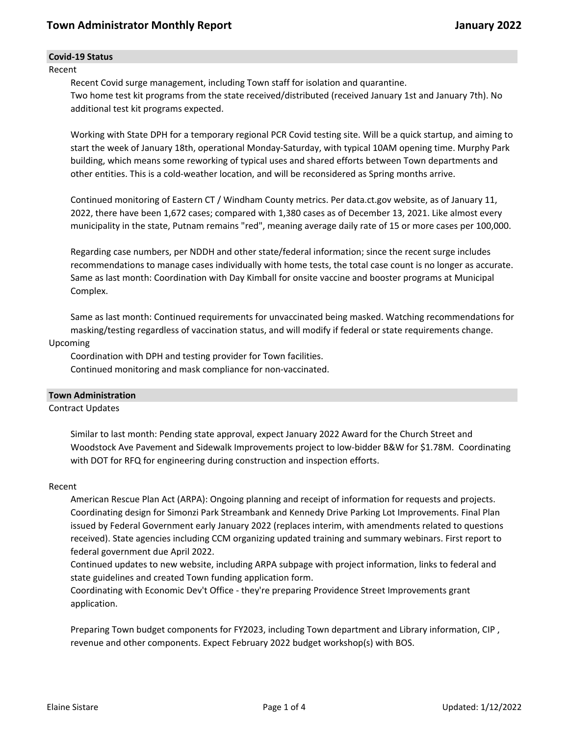### **Covid-19 Status**

Recent

Recent Covid surge management, including Town staff for isolation and quarantine. Two home test kit programs from the state received/distributed (received January 1st and January 7th). No additional test kit programs expected.

Working with State DPH for a temporary regional PCR Covid testing site. Will be a quick startup, and aiming to start the week of January 18th, operational Monday-Saturday, with typical 10AM opening time. Murphy Park building, which means some reworking of typical uses and shared efforts between Town departments and other entities. This is a cold-weather location, and will be reconsidered as Spring months arrive.

Continued monitoring of Eastern CT / Windham County metrics. Per data.ct.gov website, as of January 11, 2022, there have been 1,672 cases; compared with 1,380 cases as of December 13, 2021. Like almost every municipality in the state, Putnam remains "red", meaning average daily rate of 15 or more cases per 100,000.

Regarding case numbers, per NDDH and other state/federal information; since the recent surge includes recommendations to manage cases individually with home tests, the total case count is no longer as accurate. Same as last month: Coordination with Day Kimball for onsite vaccine and booster programs at Municipal Complex.

Same as last month: Continued requirements for unvaccinated being masked. Watching recommendations for masking/testing regardless of vaccination status, and will modify if federal or state requirements change.

#### Upcoming

Coordination with DPH and testing provider for Town facilities. Continued monitoring and mask compliance for non-vaccinated.

### **Town Administration**

Contract Updates

Similar to last month: Pending state approval, expect January 2022 Award for the Church Street and Woodstock Ave Pavement and Sidewalk Improvements project to low-bidder B&W for \$1.78M. Coordinating with DOT for RFQ for engineering during construction and inspection efforts.

#### Recent

American Rescue Plan Act (ARPA): Ongoing planning and receipt of information for requests and projects. Coordinating design for Simonzi Park Streambank and Kennedy Drive Parking Lot Improvements. Final Plan issued by Federal Government early January 2022 (replaces interim, with amendments related to questions received). State agencies including CCM organizing updated training and summary webinars. First report to federal government due April 2022.

Continued updates to new website, including ARPA subpage with project information, links to federal and state guidelines and created Town funding application form.

Coordinating with Economic Dev't Office - they're preparing Providence Street Improvements grant application.

Preparing Town budget components for FY2023, including Town department and Library information, CIP , revenue and other components. Expect February 2022 budget workshop(s) with BOS.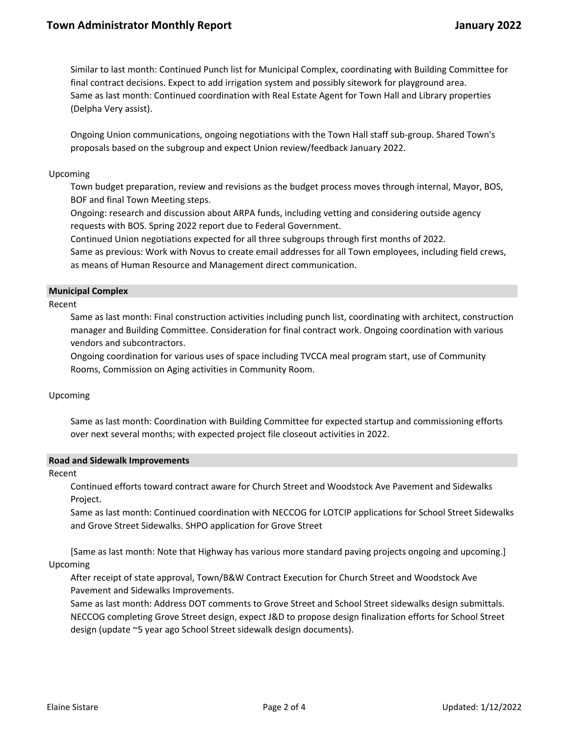Similar to last month: Continued Punch list for Municipal Complex, coordinating with Building Committee for final contract decisions. Expect to add irrigation system and possibly sitework for playground area. Same as last month: Continued coordination with Real Estate Agent for Town Hall and Library properties (Delpha Very assist).

Ongoing Union communications, ongoing negotiations with the Town Hall staff sub-group. Shared Town's proposals based on the subgroup and expect Union review/feedback January 2022.

### Upcoming

Town budget preparation, review and revisions as the budget process moves through internal, Mayor, BOS, BOF and final Town Meeting steps.

Ongoing: research and discussion about ARPA funds, including vetting and considering outside agency requests with BOS. Spring 2022 report due to Federal Government.

Continued Union negotiations expected for all three subgroups through first months of 2022.

Same as previous: Work with Novus to create email addresses for all Town employees, including field crews, as means of Human Resource and Management direct communication.

### **Municipal Complex**

Recent

Same as last month: Final construction activities including punch list, coordinating with architect, construction manager and Building Committee. Consideration for final contract work. Ongoing coordination with various vendors and subcontractors.

Ongoing coordination for various uses of space including TVCCA meal program start, use of Community Rooms, Commission on Aging activities in Community Room.

# Upcoming

Same as last month: Coordination with Building Committee for expected startup and commissioning efforts over next several months; with expected project file closeout activities in 2022.

### **Road and Sidewalk Improvements**

Recent

Continued efforts toward contract aware for Church Street and Woodstock Ave Pavement and Sidewalks Project.

Same as last month: Continued coordination with NECCOG for LOTCIP applications for School Street Sidewalks and Grove Street Sidewalks. SHPO application for Grove Street

[Same as last month: Note that Highway has various more standard paving projects ongoing and upcoming.] Upcoming

After receipt of state approval, Town/B&W Contract Execution for Church Street and Woodstock Ave Pavement and Sidewalks Improvements.

Same as last month: Address DOT comments to Grove Street and School Street sidewalks design submittals. NECCOG completing Grove Street design, expect J&D to propose design finalization efforts for School Street design (update ~5 year ago School Street sidewalk design documents).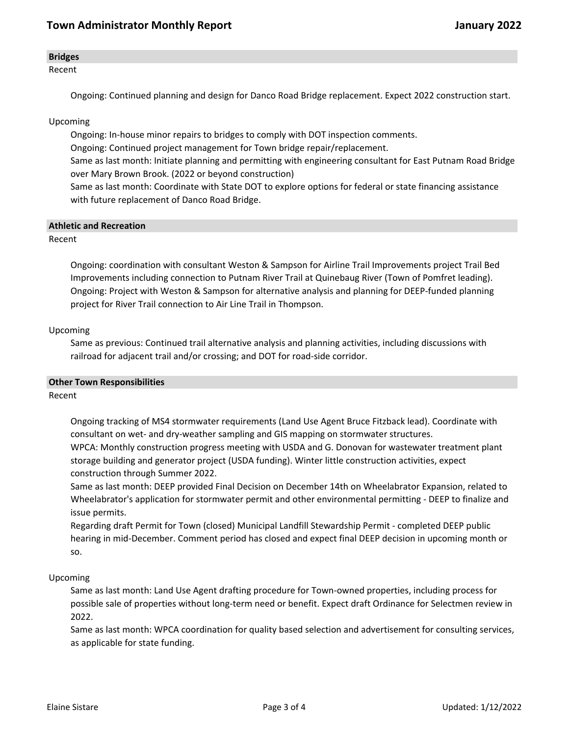### **Bridges**

Recent

Ongoing: Continued planning and design for Danco Road Bridge replacement. Expect 2022 construction start.

# Upcoming

Ongoing: In-house minor repairs to bridges to comply with DOT inspection comments.

Ongoing: Continued project management for Town bridge repair/replacement.

Same as last month: Initiate planning and permitting with engineering consultant for East Putnam Road Bridge over Mary Brown Brook. (2022 or beyond construction)

Same as last month: Coordinate with State DOT to explore options for federal or state financing assistance with future replacement of Danco Road Bridge.

### **Athletic and Recreation**

Recent

Ongoing: coordination with consultant Weston & Sampson for Airline Trail Improvements project Trail Bed Improvements including connection to Putnam River Trail at Quinebaug River (Town of Pomfret leading). Ongoing: Project with Weston & Sampson for alternative analysis and planning for DEEP-funded planning project for River Trail connection to Air Line Trail in Thompson.

### Upcoming

Same as previous: Continued trail alternative analysis and planning activities, including discussions with railroad for adjacent trail and/or crossing; and DOT for road-side corridor.

### **Other Town Responsibilities**

### Recent

Ongoing tracking of MS4 stormwater requirements (Land Use Agent Bruce Fitzback lead). Coordinate with consultant on wet- and dry-weather sampling and GIS mapping on stormwater structures. WPCA: Monthly construction progress meeting with USDA and G. Donovan for wastewater treatment plant storage building and generator project (USDA funding). Winter little construction activities, expect construction through Summer 2022.

Same as last month: DEEP provided Final Decision on December 14th on Wheelabrator Expansion, related to Wheelabrator's application for stormwater permit and other environmental permitting - DEEP to finalize and issue permits.

Regarding draft Permit for Town (closed) Municipal Landfill Stewardship Permit - completed DEEP public hearing in mid-December. Comment period has closed and expect final DEEP decision in upcoming month or so.

### Upcoming

Same as last month: Land Use Agent drafting procedure for Town-owned properties, including process for possible sale of properties without long-term need or benefit. Expect draft Ordinance for Selectmen review in 2022.

Same as last month: WPCA coordination for quality based selection and advertisement for consulting services, as applicable for state funding.